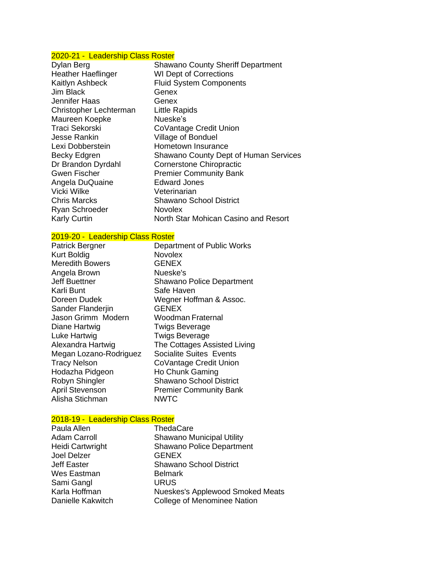# 2020-21 - Leadership Class Roster

| Dylan Berg                | <b>Shawano County Sheriff Department</b>     |
|---------------------------|----------------------------------------------|
| <b>Heather Haeflinger</b> | <b>WI Dept of Corrections</b>                |
| Kaitlyn Ashbeck           | <b>Fluid System Components</b>               |
| Jim Black                 | Genex                                        |
| Jennifer Haas             | Genex                                        |
| Christopher Lechterman    | <b>Little Rapids</b>                         |
| Maureen Koepke            | Nueske's                                     |
| Traci Sekorski            | CoVantage Credit Union                       |
| Jesse Rankin              | <b>Village of Bonduel</b>                    |
| Lexi Dobberstein          | Hometown Insurance                           |
| Becky Edgren              | <b>Shawano County Dept of Human Services</b> |
| Dr Brandon Dyrdahl        | <b>Cornerstone Chiropractic</b>              |
| <b>Gwen Fischer</b>       | <b>Premier Community Bank</b>                |
| Angela DuQuaine           | <b>Edward Jones</b>                          |
| Vicki Wilke               | Veterinarian                                 |
| <b>Chris Marcks</b>       | Shawano School District                      |
| <b>Ryan Schroeder</b>     | <b>Novolex</b>                               |
| <b>Karly Curtin</b>       | North Star Mohican Casino and Resort         |

Works

# 2019-20 - Leadership Class Roster

| Patrick Bergner        | Department of Public Works       |
|------------------------|----------------------------------|
| <b>Kurt Boldig</b>     | <b>Novolex</b>                   |
| <b>Meredith Bowers</b> | <b>GENEX</b>                     |
| Angela Brown           | Nueske's                         |
| <b>Jeff Buettner</b>   | <b>Shawano Police Department</b> |
| Karli Bunt             | Safe Haven                       |
| Doreen Dudek           | Wegner Hoffman & Assoc.          |
| Sander Flanderjin      | <b>GENEX</b>                     |
| Jason Grimm Modern     | Woodman Fraternal                |
| Diane Hartwig          | <b>Twigs Beverage</b>            |
| Luke Hartwig           | <b>Twigs Beverage</b>            |
| Alexandra Hartwig      | The Cottages Assisted Living     |
| Megan Lozano-Rodriguez | <b>Socialite Suites Events</b>   |
| <b>Tracy Nelson</b>    | CoVantage Credit Union           |
| Hodazha Pidgeon        | Ho Chunk Gaming                  |
| Robyn Shingler         | <b>Shawano School District</b>   |
| <b>April Stevenson</b> | <b>Premier Community Bank</b>    |
| Alisha Stichman        | <b>NWTC</b>                      |

# 2018-19 - Leadership Class Roster

| Paula Allen         | ThedaCare                               |
|---------------------|-----------------------------------------|
| <b>Adam Carroll</b> | <b>Shawano Municipal Utility</b>        |
| Heidi Cartwright    | <b>Shawano Police Department</b>        |
| Joel Delzer         | <b>GENEX</b>                            |
| Jeff Easter         | <b>Shawano School District</b>          |
| Wes Eastman         | <b>Belmark</b>                          |
| Sami Gangl          | <b>URUS</b>                             |
| Karla Hoffman       | <b>Nueskes's Applewood Smoked Meats</b> |
| Danielle Kakwitch   | <b>College of Menominee Nation</b>      |
|                     |                                         |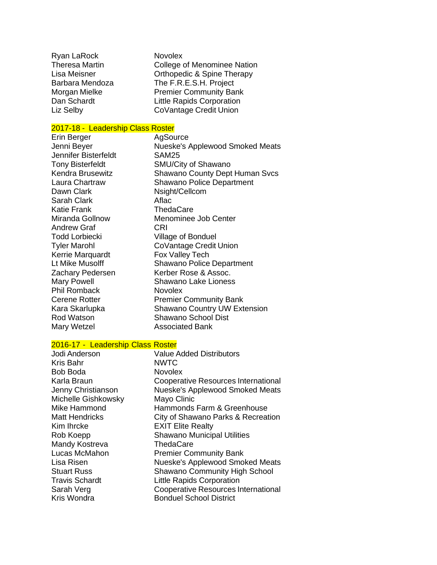| Ryan LaRock           |  |
|-----------------------|--|
| <b>Theresa Martin</b> |  |
| Lisa Meisner          |  |
| Barbara Mendoza       |  |
| Morgan Mielke         |  |
| Dan Schardt           |  |
| Liz Selby             |  |

Novolex College of Menominee Nation Orthopedic & Spine Therapy The F.R.E.S.H. Project Premier Community Bank Little Rapids Corporation CoVantage Credit Union

### 2017-18 - Leadership Class Roster

Erin Berger Frin Berger AgSource<br>
Jenni Bever Frankryke Nueske's Nueske's Applewood Smoked Meats Jennifer Bisterfeldt SAM25 Tony Bisterfeldt SMU/City of Shawano Kendra Brusewitz **Shawano County Dept Human Svcs** Laura Chartraw Shawano Police Department Dawn Clark Nsight/Cellcom Sarah Clark **Aflac** Katie Frank ThedaCare<br>Miranda Gollnow Menominee Menominee Job Center Andrew Graf CRI Todd Lorbiecki Village of Bonduel Tyler Marohl CoVantage Credit Union Kerrie Marquardt Fox Valley Tech Lt Mike Musolff Shawano Police Department<br>Zachary Pedersen Kerber Rose & Assoc. Kerber Rose & Assoc. Mary Powell Shawano Lake Lioness Phil Romback Novolex Cerene Rotter **Premier Community Bank** Kara Skarlupka Shawano Country UW Extension Rod Watson Shawano School Dist Mary Wetzel **Associated Bank** 

### 2016-17 - Leadership Class Roster

| <b>Value Added Distributors</b>        |
|----------------------------------------|
| <b>NWTC</b>                            |
| <b>Novolex</b>                         |
| Cooperative Resources International    |
| <b>Nueske's Applewood Smoked Meats</b> |
| Mayo Clinic                            |
| Hammonds Farm & Greenhouse             |
| City of Shawano Parks & Recreation     |
| <b>EXIT Elite Realty</b>               |
| <b>Shawano Municipal Utilities</b>     |
| ThedaCare                              |
| <b>Premier Community Bank</b>          |
| <b>Nueske's Applewood Smoked Meats</b> |
| <b>Shawano Community High School</b>   |
| <b>Little Rapids Corporation</b>       |
| Cooperative Resources International    |
| <b>Bonduel School District</b>         |
|                                        |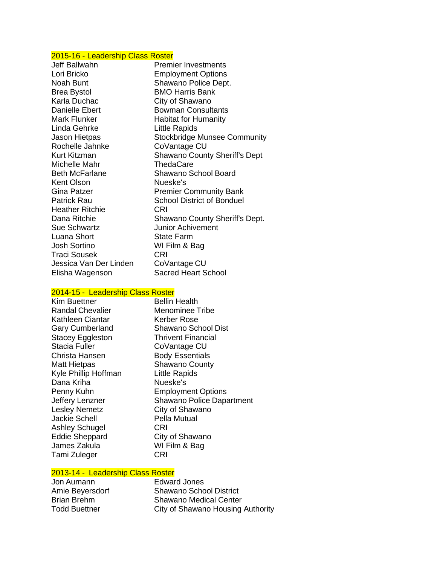# 2015-16 - Leadership Class Roster

| Jeff Ballwahn          | <b>Premier Investments</b>           |
|------------------------|--------------------------------------|
| Lori Bricko            | <b>Employment Options</b>            |
| Noah Bunt              | Shawano Police Dept.                 |
| <b>Brea Bystol</b>     | <b>BMO Harris Bank</b>               |
| Karla Duchac           | City of Shawano                      |
| <b>Danielle Ebert</b>  | <b>Bowman Consultants</b>            |
| Mark Flunker           | <b>Habitat for Humanity</b>          |
| Linda Gehrke           | Little Rapids                        |
| Jason Hietpas          | <b>Stockbridge Munsee Community</b>  |
| Rochelle Jahnke        | CoVantage CU                         |
| Kurt Kitzman           | <b>Shawano County Sheriff's Dept</b> |
| Michelle Mahr          | ThedaCare                            |
| <b>Beth McFarlane</b>  | Shawano School Board                 |
| Kent Olson             | Nueske's                             |
| Gina Patzer            | <b>Premier Community Bank</b>        |
| Patrick Rau            | <b>School District of Bonduel</b>    |
| Heather Ritchie        | CRI                                  |
| Dana Ritchie           | Shawano County Sheriff's Dept.       |
| Sue Schwartz           | <b>Junior Achivement</b>             |
| Luana Short            | <b>State Farm</b>                    |
| Josh Sortino           | WI Film & Bag                        |
| Traci Sousek           | CRI                                  |
| Jessica Van Der Linden | CoVantage CU                         |
| Elisha Wagenson        | <b>Sacred Heart School</b>           |
|                        |                                      |

### 2014-15 - Leadership Class Roster

| Kim Buettner            | <b>Bellin Health</b>             |
|-------------------------|----------------------------------|
| <b>Randal Chevalier</b> | Menominee Tribe                  |
| Kathleen Ciantar        | Kerber Rose                      |
| <b>Gary Cumberland</b>  | Shawano School Dist              |
| <b>Stacey Eggleston</b> | Thrivent Financial               |
| <b>Stacia Fuller</b>    | CoVantage CU                     |
| Christa Hansen          | <b>Body Essentials</b>           |
| <b>Matt Hietpas</b>     | <b>Shawano County</b>            |
| Kyle Phillip Hoffman    | Little Rapids                    |
| Dana Kriha              | Nueske's                         |
| Penny Kuhn              | <b>Employment Options</b>        |
| Jeffery Lenzner         | <b>Shawano Police Dapartment</b> |
| <b>Lesley Nemetz</b>    | City of Shawano                  |
| <b>Jackie Schell</b>    | Pella Mutual                     |
| <b>Ashley Schugel</b>   | CRI                              |
| <b>Eddie Sheppard</b>   | City of Shawano                  |
| James Zakula            | WI Film & Bag                    |
| Tami Zuleger            | CRI                              |

# 2013-14 - Leadership Class Roster<br>Jon Aumann Fedward Jones

Jon Aumann<br>Amie Beyersdorf

Amie Beyersdorf Shawano School District<br>Brian Brehm Shawano Medical Center Brian Brehm Shawano Medical Center<br>
Todd Buettner<br>
City of Shawano Housing City of Shawano Housing Authority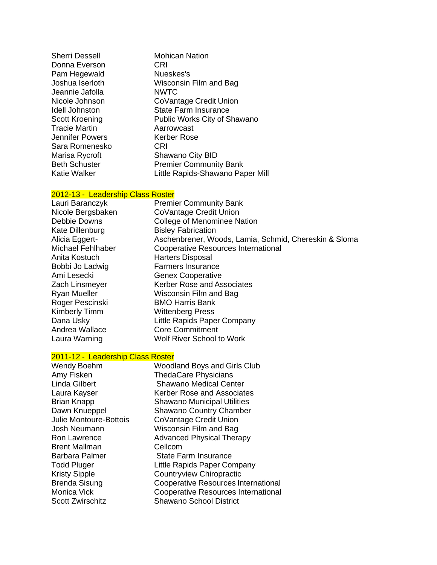| <b>Sherri Dessell</b> | <b>Mohican Nation</b>            |
|-----------------------|----------------------------------|
| Donna Everson         | CRI                              |
| Pam Hegewald          | Nueskes's                        |
| Joshua Iserloth       | Wisconsin Film and Bag           |
| Jeannie Jafolla       | <b>NWTC</b>                      |
| Nicole Johnson        | CoVantage Credit Union           |
| <b>Idell Johnston</b> | <b>State Farm Insurance</b>      |
| <b>Scott Kroening</b> | Public Works City of Shawano     |
| <b>Tracie Martin</b>  | Aarrowcast                       |
| Jennifer Powers       | Kerber Rose                      |
| Sara Romenesko        | CRI                              |
| Marisa Rycroft        | Shawano City BID                 |
| <b>Beth Schuster</b>  | <b>Premier Community Bank</b>    |
| Katie Walker          | Little Rapids-Shawano Paper Mill |
|                       |                                  |

# 2012-13 - Leadership Class Roster

| Lauri Baranczyk      | <b>Premier Community Bank</b>                         |
|----------------------|-------------------------------------------------------|
| Nicole Bergsbaken    | CoVantage Credit Union                                |
| Debbie Downs         | College of Menominee Nation                           |
| Kate Dillenburg      | <b>Bisley Fabrication</b>                             |
| Alicia Eggert-       | Aschenbrener, Woods, Lamia, Schmid, Chereskin & Sloma |
| Michael Fehlhaber    | Cooperative Resources International                   |
| Anita Kostuch        | <b>Harters Disposal</b>                               |
| Bobbi Jo Ladwig      | <b>Farmers Insurance</b>                              |
| Ami Lesecki          | <b>Genex Cooperative</b>                              |
| Zach Linsmeyer       | Kerber Rose and Associates                            |
| <b>Ryan Mueller</b>  | Wisconsin Film and Bag                                |
| Roger Pescinski      | <b>BMO Harris Bank</b>                                |
| <b>Kimberly Timm</b> | <b>Wittenberg Press</b>                               |
| Dana Usky            | Little Rapids Paper Company                           |
| Andrea Wallace       | <b>Core Commitment</b>                                |
| Laura Warning        | <b>Wolf River School to Work</b>                      |

# 2011-12 - Leadership Class Roster

| Wendy Boehm                   | <b>Woodland Boys and Girls Club</b>        |
|-------------------------------|--------------------------------------------|
| Amy Fisken                    | <b>ThedaCare Physicians</b>                |
| Linda Gilbert                 | <b>Shawano Medical Center</b>              |
| Laura Kayser                  | <b>Kerber Rose and Associates</b>          |
| <b>Brian Knapp</b>            | <b>Shawano Municipal Utilities</b>         |
| Dawn Knueppel                 | <b>Shawano Country Chamber</b>             |
| <b>Julie Montoure-Bottois</b> | CoVantage Credit Union                     |
| Josh Neumann                  | Wisconsin Film and Bag                     |
| Ron Lawrence                  | <b>Advanced Physical Therapy</b>           |
| <b>Brent Mallman</b>          | Cellcom                                    |
| Barbara Palmer                | State Farm Insurance                       |
| <b>Todd Pluger</b>            | Little Rapids Paper Company                |
| <b>Kristy Sipple</b>          | Countryview Chiropractic                   |
| Brenda Sisung                 | Cooperative Resources International        |
| Monica Vick                   | <b>Cooperative Resources International</b> |
| <b>Scott Zwirschitz</b>       | <b>Shawano School District</b>             |
|                               |                                            |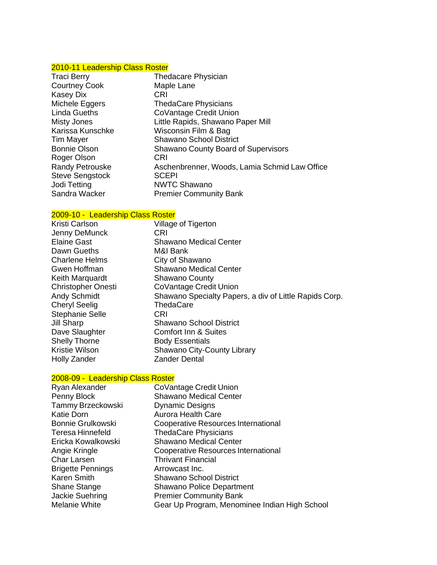# 2010-11 Leadership Class Roster

| Traci Berry            | <b>Thedacare Physician</b>                    |
|------------------------|-----------------------------------------------|
| <b>Courtney Cook</b>   | Maple Lane                                    |
| Kasey Dix              | CRI                                           |
| Michele Eggers         | <b>ThedaCare Physicians</b>                   |
| <b>Linda Gueths</b>    | CoVantage Credit Union                        |
| <b>Misty Jones</b>     | Little Rapids, Shawano Paper Mill             |
| Karissa Kunschke       | Wisconsin Film & Bag                          |
| Tim Mayer              | <b>Shawano School District</b>                |
| <b>Bonnie Olson</b>    | <b>Shawano County Board of Supervisors</b>    |
| Roger Olson            | CRI                                           |
| <b>Randy Petrouske</b> | Aschenbrenner, Woods, Lamia Schmid Law Office |
| <b>Steve Sengstock</b> | <b>SCEPI</b>                                  |
| Jodi Tetting           | <b>NWTC Shawano</b>                           |
| Sandra Wacker          | <b>Premier Community Bank</b>                 |

| 2009-10 - Leadership Class Roster |                                                        |
|-----------------------------------|--------------------------------------------------------|
| <b>Kristi Carlson</b>             | Village of Tigerton                                    |
| Jenny DeMunck                     | CRI                                                    |
| <b>Elaine Gast</b>                | <b>Shawano Medical Center</b>                          |
| Dawn Gueths                       | M&I Bank                                               |
| <b>Charlene Helms</b>             | City of Shawano                                        |
| Gwen Hoffman                      | <b>Shawano Medical Center</b>                          |
| Keith Marquardt                   | <b>Shawano County</b>                                  |
| <b>Christopher Onesti</b>         | CoVantage Credit Union                                 |
| <b>Andy Schmidt</b>               | Shawano Specialty Papers, a div of Little Rapids Corp. |
| <b>Cheryl Seelig</b>              | ThedaCare                                              |
| <b>Stephanie Selle</b>            | CRI                                                    |
| Jill Sharp                        | <b>Shawano School District</b>                         |
| Dave Slaughter                    | <b>Comfort Inn &amp; Suites</b>                        |
| <b>Shelly Thorne</b>              | <b>Body Essentials</b>                                 |
| <b>Kristie Wilson</b>             | <b>Shawano City-County Library</b>                     |
| <b>Holly Zander</b>               | <b>Zander Dental</b>                                   |

# 2008-09 - Leadership Class Roster

| CoVantage Credit Union                        |
|-----------------------------------------------|
| <b>Shawano Medical Center</b>                 |
| <b>Dynamic Designs</b>                        |
| <b>Aurora Health Care</b>                     |
| Cooperative Resources International           |
| <b>ThedaCare Physicians</b>                   |
| <b>Shawano Medical Center</b>                 |
| Cooperative Resources International           |
| <b>Thrivant Financial</b>                     |
| Arrowcast Inc.                                |
| <b>Shawano School District</b>                |
| Shawano Police Department                     |
| <b>Premier Community Bank</b>                 |
| Gear Up Program, Menominee Indian High School |
|                                               |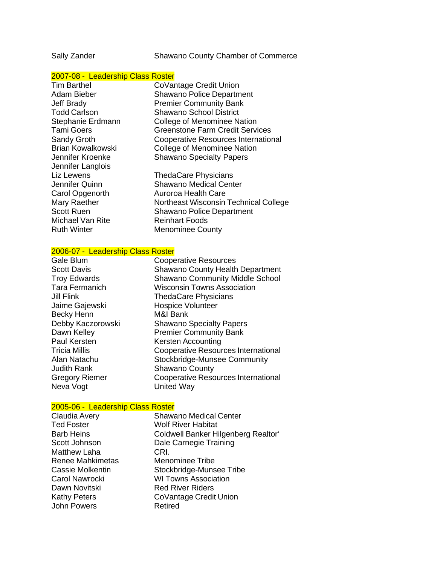Sally Zander Shawano County Chamber of Commerce

### 2007-08 - Leadership Class Roster

| <b>Tim Barthel</b>       | CoVantage Credit Union                     |
|--------------------------|--------------------------------------------|
| Adam Bieber              | <b>Shawano Police Department</b>           |
| <b>Jeff Brady</b>        | <b>Premier Community Bank</b>              |
| <b>Todd Carlson</b>      | <b>Shawano School District</b>             |
| Stephanie Erdmann        | College of Menominee Nation                |
| <b>Tami Goers</b>        | <b>Greenstone Farm Credit Services</b>     |
| Sandy Groth              | <b>Cooperative Resources International</b> |
| <b>Brian Kowalkowski</b> | College of Menominee Nation                |
| Jennifer Kroenke         | <b>Shawano Specialty Papers</b>            |
| Jennifer Langlois        |                                            |
| Liz Lewens               | <b>ThedaCare Physicians</b>                |
| Jennifer Quinn           | <b>Shawano Medical Center</b>              |
| Carol Opgenorth          | Auroroa Health Care                        |
| Mary Raether             | Northeast Wisconsin Technical College      |
| <b>Scott Ruen</b>        | <b>Shawano Police Department</b>           |
| <b>Michael Van Rite</b>  | <b>Reinhart Foods</b>                      |
| <b>Ruth Winter</b>       | <b>Menominee County</b>                    |
|                          |                                            |

### 2006-07 - Leadership Class Roster

| Gale Blum             | <b>Cooperative Resources</b>               |
|-----------------------|--------------------------------------------|
| <b>Scott Davis</b>    | <b>Shawano County Health Department</b>    |
| <b>Troy Edwards</b>   | <b>Shawano Community Middle School</b>     |
| <b>Tara Fermanich</b> | <b>Wisconsin Towns Association</b>         |
| Jill Flink            | <b>ThedaCare Physicians</b>                |
| Jaime Gajewski        | <b>Hospice Volunteer</b>                   |
| <b>Becky Henn</b>     | M&I Bank                                   |
| Debby Kaczorowski     | <b>Shawano Specialty Papers</b>            |
| Dawn Kelley           | <b>Premier Community Bank</b>              |
| <b>Paul Kersten</b>   | Kersten Accounting                         |
| <b>Tricia Millis</b>  | <b>Cooperative Resources International</b> |
| Alan Natachu          | Stockbridge-Munsee Community               |
| <b>Judith Rank</b>    | <b>Shawano County</b>                      |
| <b>Gregory Riemer</b> | Cooperative Resources International        |
| Neva Vogt             | <b>United Way</b>                          |
|                       |                                            |

2005-06 - Leadership Class Roster<br>Claudia Avery Claudia Shawano Medical Center Ted Foster **Wolf River Habitat** Barb Heins Coldwell Banker Hilgenberg Realtor' Scott Johnson Dale Carnegie Training Matthew Laha CRI. Renee Mahkimetas Menominee Tribe Cassie Molkentin Stockbridge-Munsee Tribe Carol Nawrocki WI Towns Association Dawn Novitski Red River Riders Kathy Peters **CoVantage Credit Union** John Powers Retired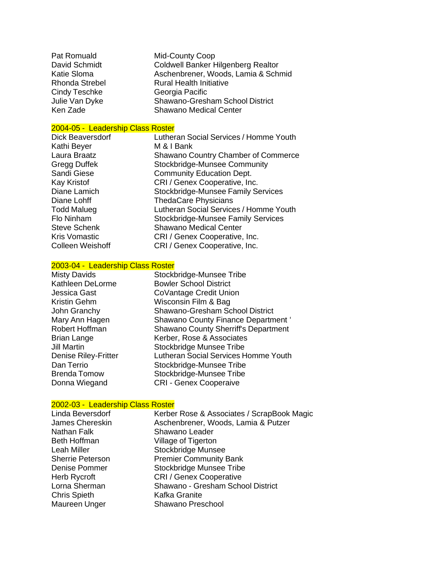| Pat Romuald           | <b>Mid-County Coop</b>              |
|-----------------------|-------------------------------------|
| David Schmidt         | Coldwell Banker Hilgenberg Realtor  |
| Katie Sloma           | Aschenbrener, Woods, Lamia & Schmid |
| <b>Rhonda Strebel</b> | <b>Rural Health Initiative</b>      |
| <b>Cindy Teschke</b>  | Georgia Pacific                     |
| Julie Van Dyke        | Shawano-Gresham School District     |
| Ken Zade              | <b>Shawano Medical Center</b>       |

### 2004-05 - Leadership Class Roster

Kathi Beyer M & I Bank

Dick Beaversdorf Lutheran Social Services / Homme Youth Laura Braatz **Shawano Country Chamber of Commerce** Gregg Duffek Stockbridge-Munsee Community Sandi Giese **Community Education Dept.** Kay Kristof CRI / Genex Cooperative, Inc. Diane Lamich Stockbridge-Munsee Family Services Diane Lohff ThedaCare Physicians Todd Malueg **Lutheran Social Services / Homme Youth**<br>
Flo Ninham Stockbridge-Munsee Family Services Stockbridge-Munsee Family Services Steve Schenk Shawano Medical Center<br>
Kris Vomastic CRI / Genex Cooperative. CRI / Genex Cooperative, Inc. Colleen Weishoff CRI / Genex Cooperative, Inc.

### 2003-04 - Leadership Class Roster

| <b>Misty Davids</b>         | Stockbridge-Munsee Tribe                    |
|-----------------------------|---------------------------------------------|
| Kathleen DeLorme            | <b>Bowler School District</b>               |
| Jessica Gast                | CoVantage Credit Union                      |
| Kristin Gehm                | Wisconsin Film & Bag                        |
| John Granchy                | <b>Shawano-Gresham School District</b>      |
| Mary Ann Hagen              | Shawano County Finance Department '         |
| Robert Hoffman              | <b>Shawano County Sherriff's Department</b> |
| <b>Brian Lange</b>          | Kerber, Rose & Associates                   |
| <b>Jill Martin</b>          | Stockbridge Munsee Tribe                    |
| <b>Denise Riley-Fritter</b> | Lutheran Social Services Homme Youth        |
| Dan Terrio                  | Stockbridge-Munsee Tribe                    |
| <b>Brenda Tomow</b>         | Stockbridge-Munsee Tribe                    |
| Donna Wiegand               | <b>CRI - Genex Cooperaive</b>               |
|                             |                                             |

### 2002-03 - Leadership Class Roster

| Kerber Rose & Associates / ScrapBook Magic |
|--------------------------------------------|
| Aschenbrener, Woods, Lamia & Putzer        |
| Shawano Leader                             |
| Village of Tigerton                        |
| Stockbridge Munsee                         |
| <b>Premier Community Bank</b>              |
| <b>Stockbridge Munsee Tribe</b>            |
| <b>CRI / Genex Cooperative</b>             |
| Shawano - Gresham School District          |
| Kafka Granite                              |
| Shawano Preschool                          |
|                                            |